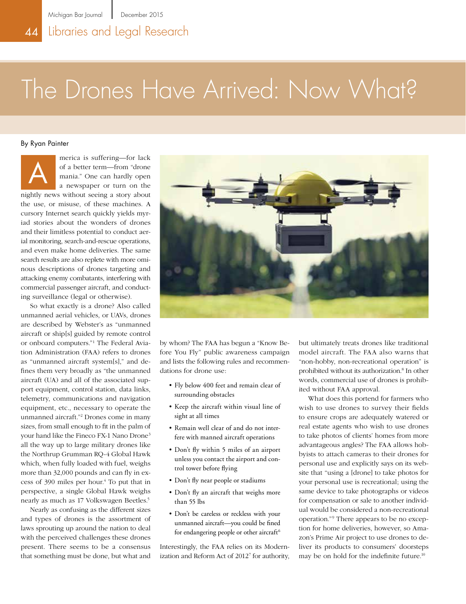# The Drones Have Arrived: Now What?

By Ryan Painter



merica is suffering—for lack of a better term—from "drone mania." One can hardly open a newspaper or turn on the nightly news without seeing a story about

the use, or misuse, of these machines. A cursory Internet search quickly yields myriad stories about the wonders of drones and their limitless potential to conduct aerial monitoring, search-and-rescue operations, and even make home deliveries. The same search results are also replete with more ominous descriptions of drones targeting and attacking enemy combatants, interfering with commercial passenger aircraft, and conducting surveillance (legal or otherwise).

So what exactly is a drone? Also called unmanned aerial vehicles, or UAVs, drones are described by Webster's as "unmanned aircraft or ship[s] guided by remote control or onboard computers."1 The Federal Aviation Administration (FAA) refers to drones as "unmanned aircraft system[s]," and defines them very broadly as "the unmanned aircraft (UA) and all of the associated support equipment, control station, data links, telemetry, communications and navigation equipment, etc., necessary to operate the unmanned aircraft."2 Drones come in many sizes, from small enough to fit in the palm of your hand like the Fineco FX-1 Nano Drone3 all the way up to large military drones like the Northrup Grumman RQ-4 Global Hawk which, when fully loaded with fuel, weighs more than 32,000 pounds and can fly in excess of 390 miles per hour.<sup>4</sup> To put that in perspective, a single Global Hawk weighs nearly as much as 17 Volkswagen Beetles.5

Nearly as confusing as the different sizes and types of drones is the assortment of laws sprouting up around the nation to deal with the perceived challenges these drones present. There seems to be a consensus that something must be done, but what and



by whom? The FAA has begun a "Know Before You Fly" public awareness campaign and lists the following rules and recommendations for drone use:

- Fly below 400 feet and remain clear of surrounding obstacles
- Keep the aircraft within visual line of sight at all times
- Remain well clear of and do not interfere with manned aircraft operations
- Don't fly within 5 miles of an airport unless you contact the airport and control tower before flying
- Don't fly near people or stadiums
- Don't fly an aircraft that weighs more than 55 lbs
- Don't be careless or reckless with your unmanned aircraft—you could be fined for endangering people or other aircraft<sup>6</sup>

Interestingly, the FAA relies on its Modernization and Reform Act of 2012<sup>7</sup> for authority, but ultimately treats drones like traditional model aircraft. The FAA also warns that "non-hobby, non-recreational operation" is prohibited without its authorization.<sup>8</sup> In other words, commercial use of drones is prohibited without FAA approval.

What does this portend for farmers who wish to use drones to survey their fields to ensure crops are adequately watered or real estate agents who wish to use drones to take photos of clients' homes from more advantageous angles? The FAA allows hobbyists to attach cameras to their drones for personal use and explicitly says on its website that "using a [drone] to take photos for your personal use is recreational; using the same device to take photographs or videos for compensation or sale to another individual would be considered a non-recreational operation."9 There appears to be no exception for home deliveries, however, so Amazon's Prime Air project to use drones to deliver its products to consumers' doorsteps may be on hold for the indefinite future.10